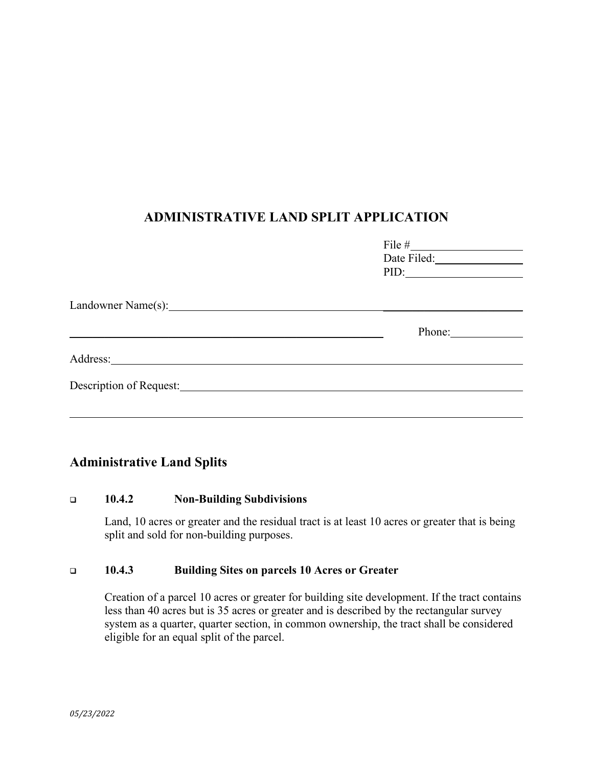## **ADMINISTRATIVE LAND SPLIT APPLICATION**

|                         | PID:   |  |
|-------------------------|--------|--|
| Landowner Name(s):      |        |  |
|                         | Phone: |  |
| Address:                |        |  |
| Description of Request: |        |  |
|                         |        |  |

### **Administrative Land Splits**

### **10.4.2 Non-Building Subdivisions**

Land, 10 acres or greater and the residual tract is at least 10 acres or greater that is being split and sold for non-building purposes.

### **10.4.3 Building Sites on parcels 10 Acres or Greater**

Creation of a parcel 10 acres or greater for building site development. If the tract contains less than 40 acres but is 35 acres or greater and is described by the rectangular survey system as a quarter, quarter section, in common ownership, the tract shall be considered eligible for an equal split of the parcel.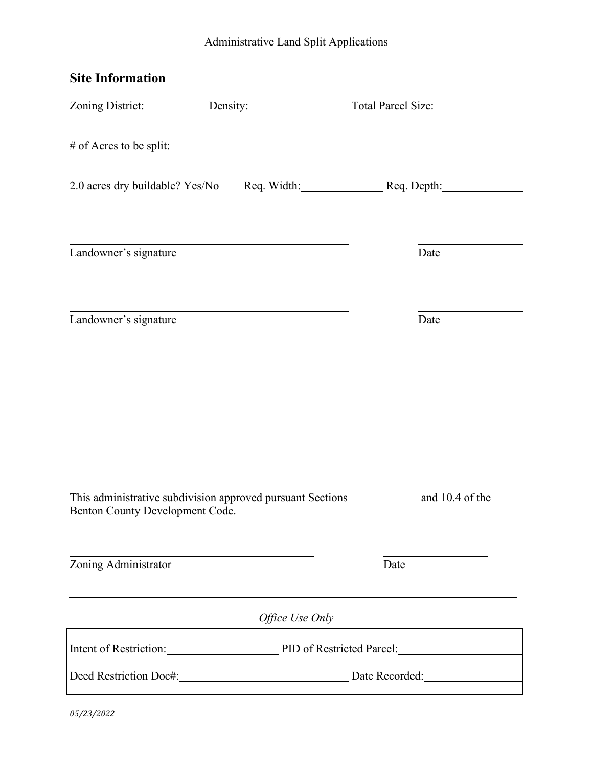# Administrative Land Split Applications

| <b>Site Information</b>         |                                                                     |                                                               |                 |  |
|---------------------------------|---------------------------------------------------------------------|---------------------------------------------------------------|-----------------|--|
|                                 |                                                                     |                                                               |                 |  |
| # of Acres to be split:         |                                                                     |                                                               |                 |  |
|                                 | 2.0 acres dry buildable? Yes/No Req. Width: Req. Depth: Req. Depth: |                                                               |                 |  |
| Landowner's signature           | <u> 1989 - Johann Barnett, fransk politiker (d. 1989)</u>           |                                                               | Date            |  |
| Landowner's signature           |                                                                     |                                                               | Date            |  |
|                                 |                                                                     |                                                               |                 |  |
| Benton County Development Code. | This administrative subdivision approved pursuant Sections          |                                                               | and 10.4 of the |  |
| Zoning Administrator            |                                                                     | Date                                                          |                 |  |
|                                 | Office Use Only                                                     |                                                               |                 |  |
|                                 |                                                                     | Intent of Restriction: PID of Restricted Parcel: 2008. [2013] |                 |  |
|                                 |                                                                     | Deed Restriction Doc#: Date Recorded:                         |                 |  |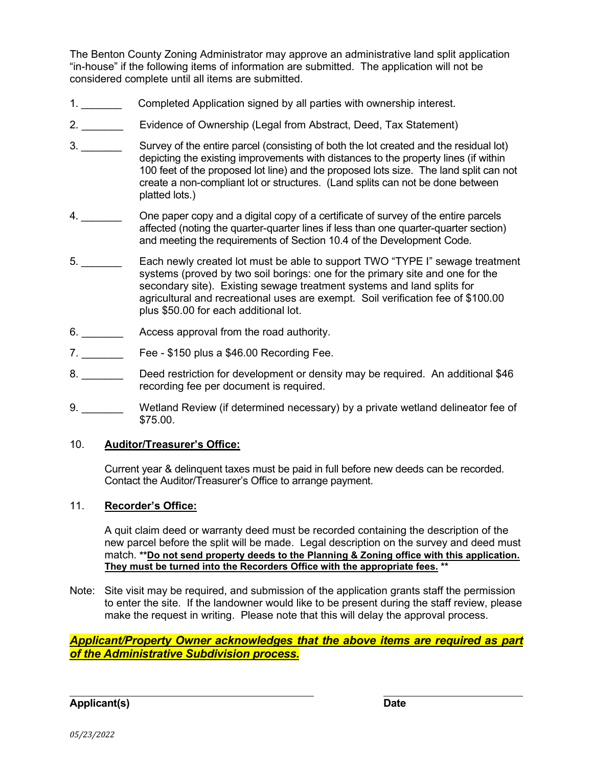The Benton County Zoning Administrator may approve an administrative land split application "in-house" if the following items of information are submitted. The application will not be considered complete until all items are submitted.

- 1. \_\_\_\_\_\_\_ Completed Application signed by all parties with ownership interest.
- 2. \_\_\_\_\_\_\_ Evidence of Ownership (Legal from Abstract, Deed, Tax Statement)
- 3. \_\_\_\_\_\_\_ Survey of the entire parcel (consisting of both the lot created and the residual lot) depicting the existing improvements with distances to the property lines (if within 100 feet of the proposed lot line) and the proposed lots size. The land split can not create a non-compliant lot or structures. (Land splits can not be done between platted lots.)
- 4. \_\_\_\_\_\_\_ One paper copy and a digital copy of a certificate of survey of the entire parcels affected (noting the quarter-quarter lines if less than one quarter-quarter section) and meeting the requirements of Section 10.4 of the Development Code.
- 5. \_\_\_\_\_\_\_ Each newly created lot must be able to support TWO "TYPE I" sewage treatment systems (proved by two soil borings: one for the primary site and one for the secondary site). Existing sewage treatment systems and land splits for agricultural and recreational uses are exempt. Soil verification fee of \$100.00 plus \$50.00 for each additional lot.
- 6. \_\_\_\_\_\_\_ Access approval from the road authority.
- 7. **Example 2 Fee \$150 plus a \$46.00 Recording Fee.**
- 8. Deed restriction for development or density may be required. An additional \$46 recording fee per document is required.
- 9. \_\_\_\_\_\_\_\_\_ Wetland Review (if determined necessary) by a private wetland delineator fee of \$75.00.

### 10. **Auditor/Treasurer's Office:**

Current year & delinquent taxes must be paid in full before new deeds can be recorded. Contact the Auditor/Treasurer's Office to arrange payment.

### 11. **Recorder's Office:**

A quit claim deed or warranty deed must be recorded containing the description of the new parcel before the split will be made. Legal description on the survey and deed must match. **\*\*Do not send property deeds to the Planning & Zoning office with this application. They must be turned into the Recorders Office with the appropriate fees. \*\***

Note: Site visit may be required, and submission of the application grants staff the permission to enter the site. If the landowner would like to be present during the staff review, please make the request in writing. Please note that this will delay the approval process.

*Applicant/Property Owner acknowledges that the above items are required as part of the Administrative Subdivision process.*

**Applicant(s) Date**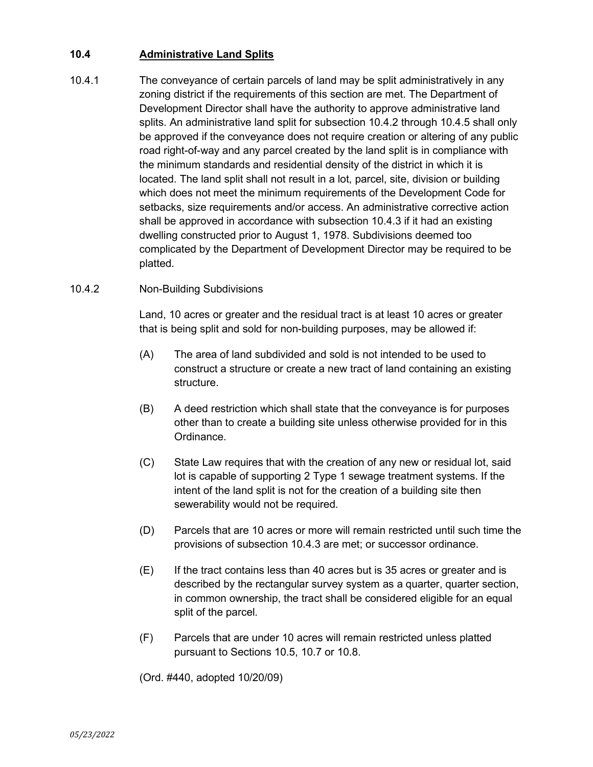### **10.4 Administrative Land Splits**

- 10.4.1 The conveyance of certain parcels of land may be split administratively in any zoning district if the requirements of this section are met. The Department of Development Director shall have the authority to approve administrative land splits. An administrative land split for subsection 10.4.2 through 10.4.5 shall only be approved if the conveyance does not require creation or altering of any public road right-of-way and any parcel created by the land split is in compliance with the minimum standards and residential density of the district in which it is located. The land split shall not result in a lot, parcel, site, division or building which does not meet the minimum requirements of the Development Code for setbacks, size requirements and/or access. An administrative corrective action shall be approved in accordance with subsection 10.4.3 if it had an existing dwelling constructed prior to August 1, 1978. Subdivisions deemed too complicated by the Department of Development Director may be required to be platted.
- 10.4.2 Non-Building Subdivisions

Land, 10 acres or greater and the residual tract is at least 10 acres or greater that is being split and sold for non-building purposes, may be allowed if:

- (A) The area of land subdivided and sold is not intended to be used to construct a structure or create a new tract of land containing an existing structure.
- (B) A deed restriction which shall state that the conveyance is for purposes other than to create a building site unless otherwise provided for in this Ordinance.
- (C) State Law requires that with the creation of any new or residual lot, said lot is capable of supporting 2 Type 1 sewage treatment systems. If the intent of the land split is not for the creation of a building site then sewerability would not be required.
- (D) Parcels that are 10 acres or more will remain restricted until such time the provisions of subsection 10.4.3 are met; or successor ordinance.
- (E) If the tract contains less than 40 acres but is 35 acres or greater and is described by the rectangular survey system as a quarter, quarter section, in common ownership, the tract shall be considered eligible for an equal split of the parcel.
- (F) Parcels that are under 10 acres will remain restricted unless platted pursuant to Sections 10.5, 10.7 or 10.8.

(Ord. #440, adopted 10/20/09)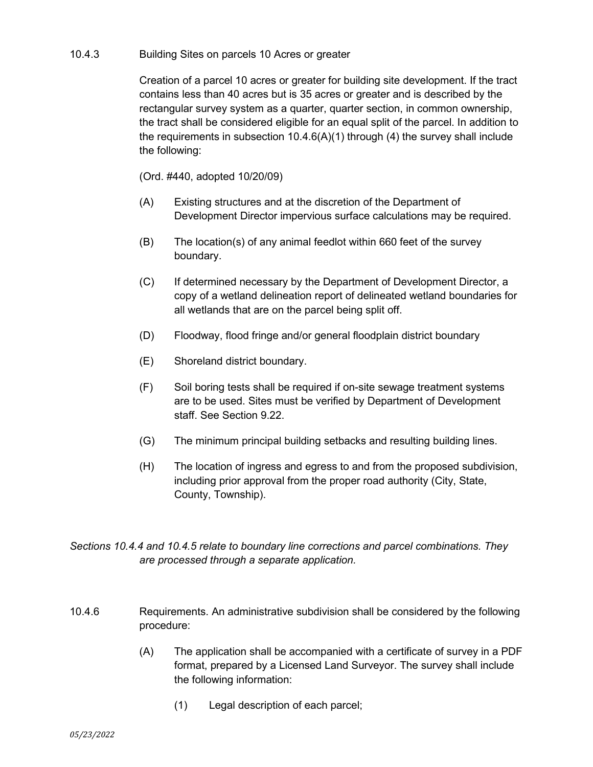#### 10.4.3 Building Sites on parcels 10 Acres or greater

Creation of a parcel 10 acres or greater for building site development. If the tract contains less than 40 acres but is 35 acres or greater and is described by the rectangular survey system as a quarter, quarter section, in common ownership, the tract shall be considered eligible for an equal split of the parcel. In addition to the requirements in subsection 10.4.6(A)(1) through (4) the survey shall include the following:

(Ord. #440, adopted 10/20/09)

- (A) Existing structures and at the discretion of the Department of Development Director impervious surface calculations may be required.
- (B) The location(s) of any animal feedlot within 660 feet of the survey boundary.
- (C) If determined necessary by the Department of Development Director, a copy of a wetland delineation report of delineated wetland boundaries for all wetlands that are on the parcel being split off.
- (D) Floodway, flood fringe and/or general floodplain district boundary
- (E) Shoreland district boundary.
- (F) Soil boring tests shall be required if on-site sewage treatment systems are to be used. Sites must be verified by Department of Development staff. See Section 9.22.
- (G) The minimum principal building setbacks and resulting building lines.
- (H) The location of ingress and egress to and from the proposed subdivision, including prior approval from the proper road authority (City, State, County, Township).

*Sections 10.4.4 and 10.4.5 relate to boundary line corrections and parcel combinations. They are processed through a separate application.*

- 10.4.6 Requirements. An administrative subdivision shall be considered by the following procedure:
	- (A) The application shall be accompanied with a certificate of survey in a PDF format, prepared by a Licensed Land Surveyor. The survey shall include the following information:
		- (1) Legal description of each parcel;